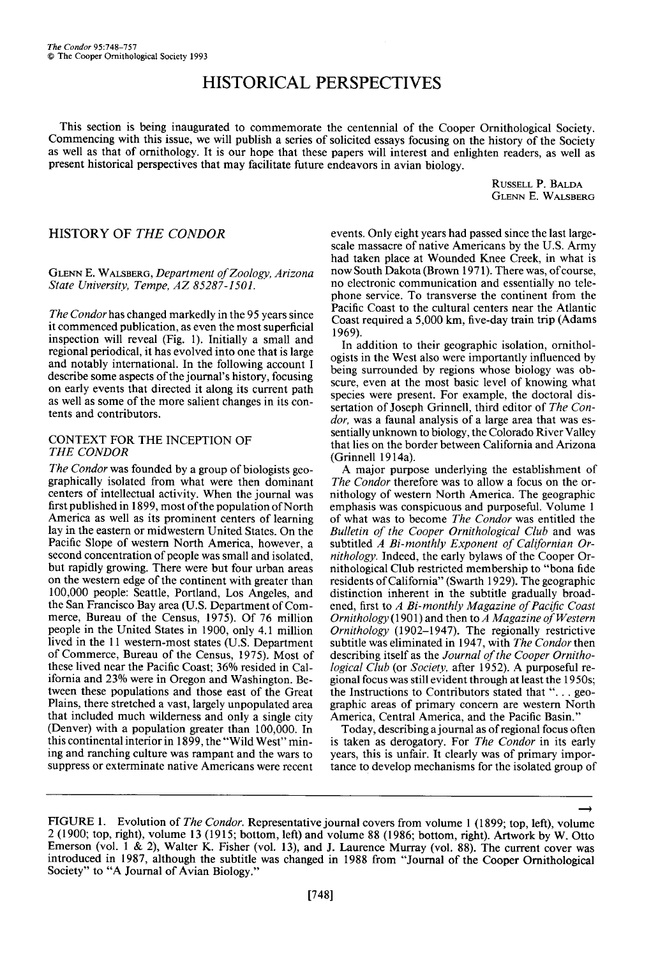# **HISTORICAL PERSPECTIVES**

**This section is being inaugurated to commemorate the centennial of the Cooper Ornithological Society. Commencing with this issue, we will publish a series of solicited essays focusing on the history of the Society as well as that of ornithology. It is our hope that these papers will interest and enlighten readers, as well as present historical perspectives that may facilitate future endeavors in avian biology.** 

> **RUSSELLP. BALDA GLENN E. WALSBERG**

# **HISTORY OF THE CONDOR**

**GLENN E. WALSBERG, Department of Zoology, Arizona State University, Tempe, AZ 85287-1501.** 

**The Condor has changed markedly in the 95 years since it commenced publication, as even the most superficial inspection will reveal (Fig. 1). Initially a small and regional periodical, it has evolved into one that is large and notably international. In the following account I describe some aspects of the journal's history, focusing on early events that directed it along its current path as well as some of the more salient changes in its contents and contributors.** 

### **CONTEXT FOR THE INCEPTION OF THE CONDOR**

**The Condor was founded by a group of biologists geographically isolated from what were then dominant centers of intellectual activity. When the journal was**  first published in 1899, most of the population of North **America as well as its prominent centers of learning lay in the eastern or midwestem United States. On the Pacific Slope of western North America, however, a second concentration of people was small and isolated, but rapidly growing. There were but four urban areas on the western edge of the continent with greater than 100,000 people: Seattle, Portland, Los Angeles, and the San Francisco Bay area (U.S. Department of Commerce, Bureau of the Census, 1975). Of 76 million people in the United States in 1900, only 4.1 million lived in the 11 western-most states (U.S. Department of Commerce, Bureau of the Census, 1975). Most of these lived near the Pacific Coast; 36% resided in California and 23% were in Oregon and Washington. Between these populations and those east of the Great Plains, there stretched a vast, largely unpopulated area that included much wilderness and only a single city (Denver) with a population greater than 100,000. In this continental interior in 1899, the "Wild West" mining and ranching culture was rampant and the wars to suppress or exterminate native Americans were recent** 

**events. Only eight years had passed since the last largescale massacre of native Americans by the U.S. Army had taken place at Wounded Knee Creek, in what is now South Dakota (Brown 197 1). There was, ofcourse, no electronic communication and essentially no telephone service. To transverse the continent from the Pacific Coast to the cultural centers near the Atlantic Coast required a 5,000 km, five-day train trip (Adams 1969).** 

**In addition to their geographic isolation, omithologists in the West also were importantly influenced by being surrounded by regions whose biology was obscure, even at the most basic level of knowing what species were present. For example, the doctoral dissertation of Joseph Grinnell, third editor of The Condor, was a fauna1 analysis of a large area that was essentially unknown to biology, the Colorado River Valley that lies on the border between California and Arizona (Grinnell 19 14a).** 

**A major purpose underlying the establishment of The Condor therefore was to allow a focus on the ornithology of western North America. The geographic emphasis was conspicuous and purposeful. Volume 1 of what was to become The Condor was entitled the Bulletin of the Cooper Ornithological Club and was subtitled A Bi-monthly Exponent of Californian Ornithology. Indeed, the early bylaws of the Cooper Ornithological Club restricted membership to "bona fide residents of California" (Swarth 1929). The geographic distinction inherent in the subtitle gradually broadened, first to A Bi-monthly Magazine of Pacific Coast Ornithology (190 1) and then to A Magazine of Western Ornithology (1902-l 947). The regionally restrictive subtitle was eliminated in 1947, with The Condor then**  describing itself as the Journal of the Cooper Ornitho**logical Club (or Society, after 1952). A purposeful regional focus was still evident through at least the 1950s;**  the Instructions to Contributors stated that "... geo**graphic areas of primary concern are western North America, Central America, and the Pacific Basin."** 

**Today, describing a journal as of regional focus often is taken as derogatory. For The Condor in its early years, this is unfair. It clearly was of primary importance to develop mechanisms for the isolated group of** 

**+** 

**FIGURE 1. Evolution of The Condor. Representative journal covers from volume 1 (1899; top, left), volume 2 (1900; top, right), volume 13 (19 15; bottom, left) and volume 88 (1986; bottom, right). Artwork by W. Otto Emerson (vol. 1 & 2), Walter K. Fisher (vol. 13), and J. Laurence Murray (vol. 88). The current cover was introduced in 1987, although the subtitle was changed in 1988 from "Journal of the Cooper Ornithological Society" to "A Journal of Avian Biology."**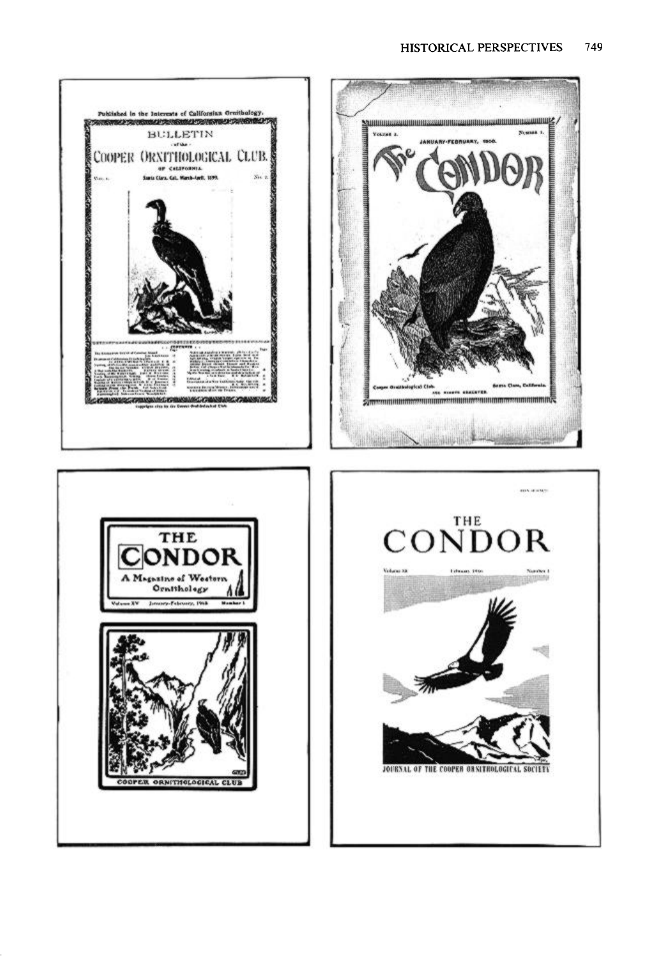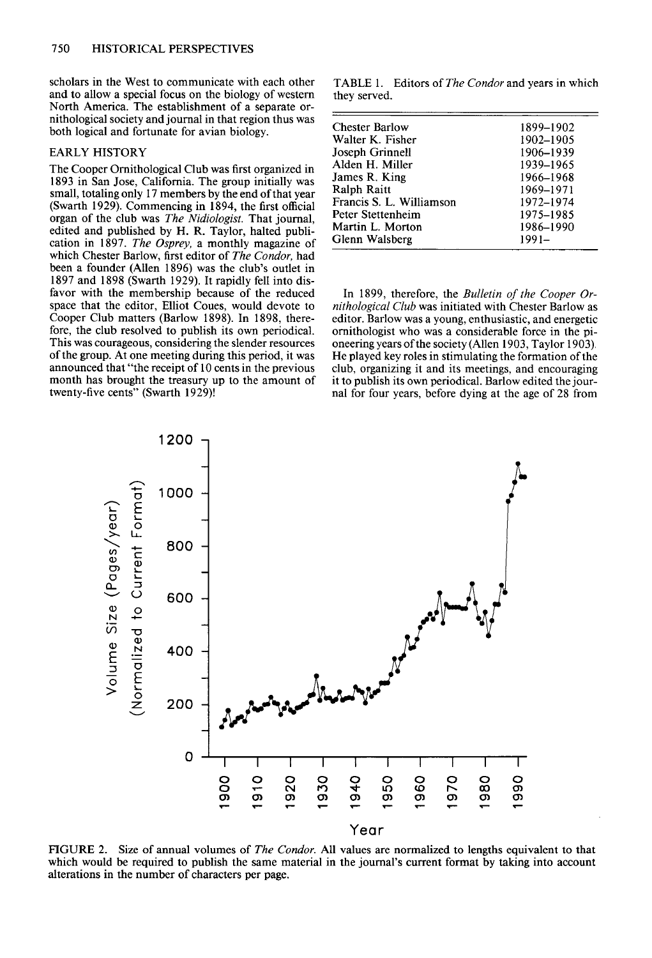**scholars in the West to communicate with each other and to allow a special focus on the biology of western North America. The establishment of a separate ornithological society and journal in that region thus was both logical and fortunate for avian biology.** 

# **EARLY HISTORY**

**The Cooper Ornithological Club was first organized in 1893 in San Jose, California. The group initially was small, totaling only 17 members by the end of that year (Swarth 1929). Commencing in 1894, the first official organ of the club was The Nidiologist. That journal, edited and published by H. R. Taylor, halted publication in 1897. The Osprey, a monthly magazine of which Chester Barlow, first editor of The Condor, had been a founder (Allen 1896) was the club's outlet in 1897 and 1898 (Swarth 1929). It rapidly fell into disfavor with the membership because of the reduced space that the editor, Elliot Coues, would devote to Cooper Club matters (Barlow 1898). In 1898, therefore, the club resolved to publish its own periodical. This was courageous, considering the slender resources of the group. At one meeting during this period, it was announced that "the receipt of 10 cents in the previous month has brought the treasury up to the amount of twenty-five cents" (Swarth 1929)!** 

**TABLE 1. Editors of The Condor and years in which they served.** 

| <b>Chester Barlow</b>    | 1899-1902 |
|--------------------------|-----------|
| Walter K. Fisher         | 1902-1905 |
| Joseph Grinnell          | 1906-1939 |
| Alden H. Miller          | 1939-1965 |
| James R. King            | 1966-1968 |
| <b>Ralph Raitt</b>       | 1969-1971 |
| Francis S. L. Williamson | 1972-1974 |
| Peter Stettenheim        | 1975-1985 |
| Martin L. Morton         | 1986-1990 |
| Glenn Walsberg           | 1991–     |
|                          |           |

**In 1899, therefore, the Bulletin of the Cooper Ornithological Club was initiated with Chester Barlow as editor. Barlow was a young, enthusiastic, and energetic ornithologist who was a considerable force in the pioneering years of the society (Allen 1903, Taylor 1903). He played key roles in stimulating the formation of the club, organizing it and its meetings, and encouraging it to publish its own periodical. Barlow edited the journal for four years, before dying at the age of 28 from** 



**FIGURE 2. Size of annual volumes of The Condor. All values are normalized to lengths equivalent to that which would be required to publish the same material in the journal's current format by taking into account alterations in the number of characters per page.**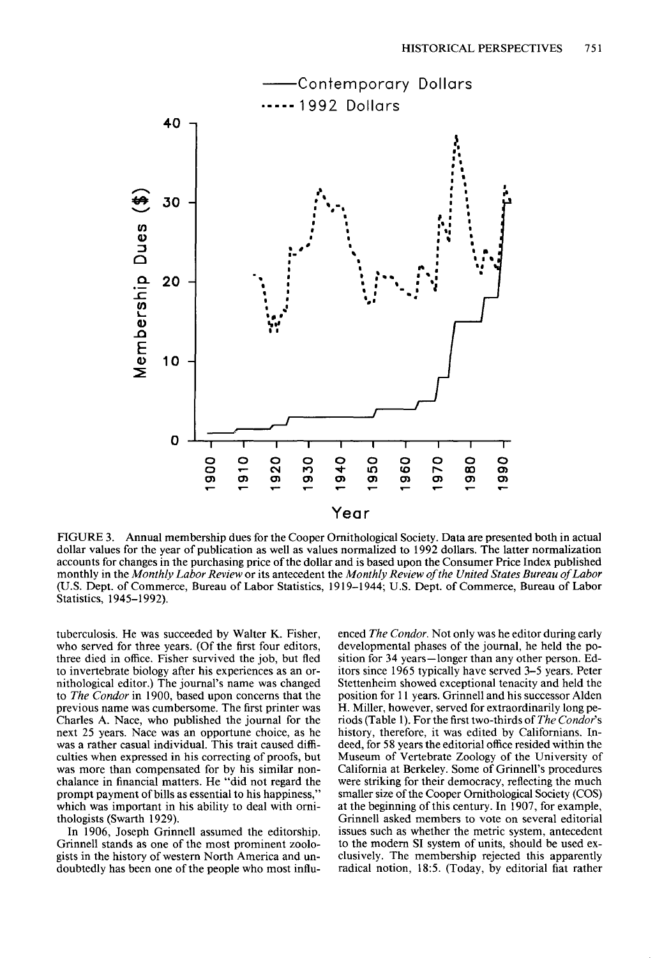

**FIGURE 3. Annual membership dues for the Cooper Ornithological Society. Data are presented both in actual dollar values for the year of publication as well as values normalized to 1992 dollars. The latter normalization accounts for changes in the purchasing price of the dollar and is based upon the Consumer Price Index published monthly in the Monthly Labor Review or its antecedent the Monthly Review of the United States Bureau of Labor (U.S. Dept. of Commerce, Bureau of Labor Statistics, 19 19-1944; U.S. Dept. of Commerce, Bureau of Labor Statistics, 1945-1992).** 

**tuberculosis. He was succeeded by Walter K. Fisher, who served for three years. (Of the first four editors, three died in office. Fisher survived the job, but fled to invertebrate biology after his experiences as an ornithological editor.) The journal's name was changed to The Condor in 1900, based upon concerns that the previous name was cumbersome. The first printer was**  Charles A. Nace, who published the journal for the next 25 years. Nace was an opportune choice, as he **was a rather casual individual. This trait caused difficulties when expressed in his correcting of proofs, but was more than compensated for by his similar nonchalance in financial matters. He "did not regard the prompt payment of bills as essential to his happiness," which was important in his ability to deal with omithologists (Swarth 1929).** 

**In 1906, Joseph Grinnell assumed the editorship. Grinnell stands as one of the most prominent zoologists in the history of western North America and undoubtedly has been one of the people who most influ-** **enced The Condor. Not only was he editor during early developmental phases of the journal, he held the position for 34 years-longer than any other person. Editors since 1965 typically have served 3-5 years. Peter Stettenheim showed exceptional tenacity and held the position for 11 years. Grinnell and his successor Alden H. Miller, however, served for extraordinarily long periods (Table 1). For the first two-thirds of The Condors ' history, therefore, it was edited by Californians. Indeed, for 58 years the editorial office resided within the Museum of Vertebrate Zoology of the University of California at Berkeley. Some of Grinnell's procedures were striking for their democracy, reflecting the much smaller size of the Cooper Ornithological Society (COS) at the beginning of this century. In 1907, for example, Grinnell asked members to vote on several editorial issues such as whether the metric system, antecedent to the modem SI system of units, should be used exclusively. The membership rejected this apparently radical notion, l&5. (Today, by editorial fiat rather**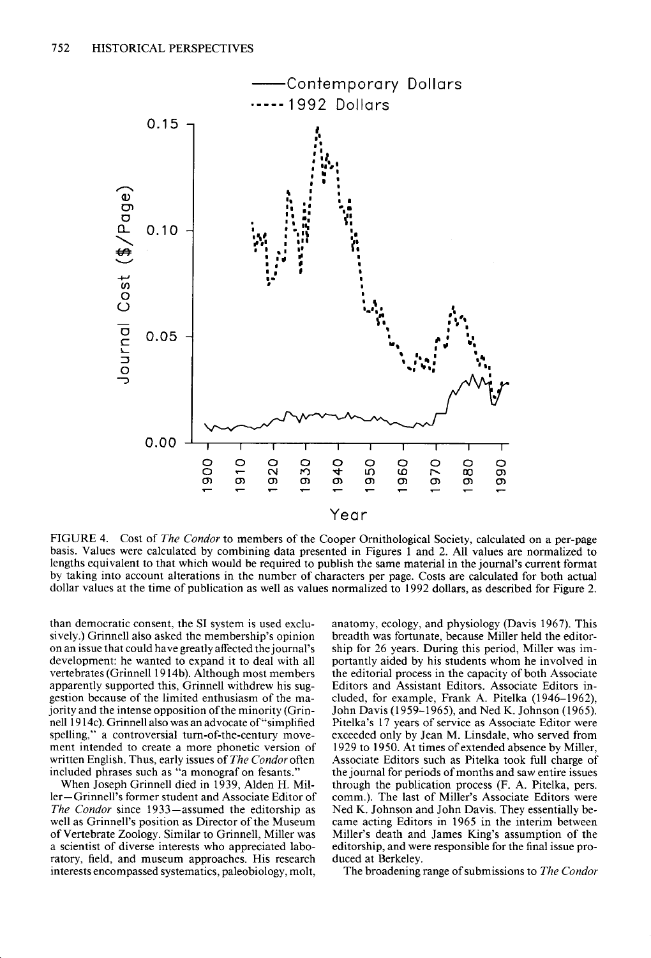

**FIGURE 4. Cost of The Condor to members of the Cooper Ornithological Society, calculated on a per-page basis. Values were calculated by combining data presented in Figures 1 and 2. All values are normalized to lengths equivalent to that which would be required to publish the same material in the journal's current format by taking into account alterations in the number of characters per page. Costs are calculated for both actual dollar values at the time of publication as well as values normalized to 1992 dollars, as described for Figure 2.** 

**than democratic consent, the SI system is used exclusively.) Grinnell also asked the membership's opinion on an issue that could have greatly affected the journal's development: he wanted to expand it to deal with all vertebrates (Grinnell 19 14b). Although most members apparently supported this, Grinnell withdrew his suggestion because of the limited enthusiasm of the ma**jority and the intense opposition of the minority (Grinnell 1914c). Grinnell also was an advocate of "simplified **spelling," a controversial turn-of-the-century movement intended to create a more phonetic version of written English. Thus, early issues of The Condor often included phrases such as "a monograf on fesants."** 

**When Joseph Grinnell died in 1939, Alden H. Miller-Grinnell's former student and Associate Editor of 7% Condor since 1933-assumed the editorship as well as Grinnell's position as Director of the Museum of Vertebrate Zoology. Similar to Grinnell, Miller was a scientist of diverse interests who appreciated laboratory, field, and museum approaches. His research interests encompassed systematics, paleobiology, molt,** 

**anatomy, ecology, and physiology (Davis 1967). This breadth was fortunate, because Miller held the editorship for 26 years. During this period, Miller was importantly aided by his students whom he involved in the editorial process in the capacity of both Associate Editors and Assistant Editors. Associate Editors in**cluded, for example, Frank A. Pitelka (1946-1962), **John Davis (1959-1965) and Ned K. Johnson (1965). Pitelka's 17 years of service as Associate Editor were exceeded only by Jean M. Linsdale, who served from 1929 to 1950. At times of extended absence by Miller, Associate Editors such as Pitelka took full charge of the journal for periods of months and saw entire issues through the publication process (F. A. Pitelka, pers. comm.). The last of Miller's Associate Editors were Ned K. Johnson and John Davis. They essentially became acting Editors in 1965 in the interim between Miller's death and James King's assumption of the editorship, and were responsible for the final issue produced at Berkeley.** 

**The broadening range of submissions to The Condor**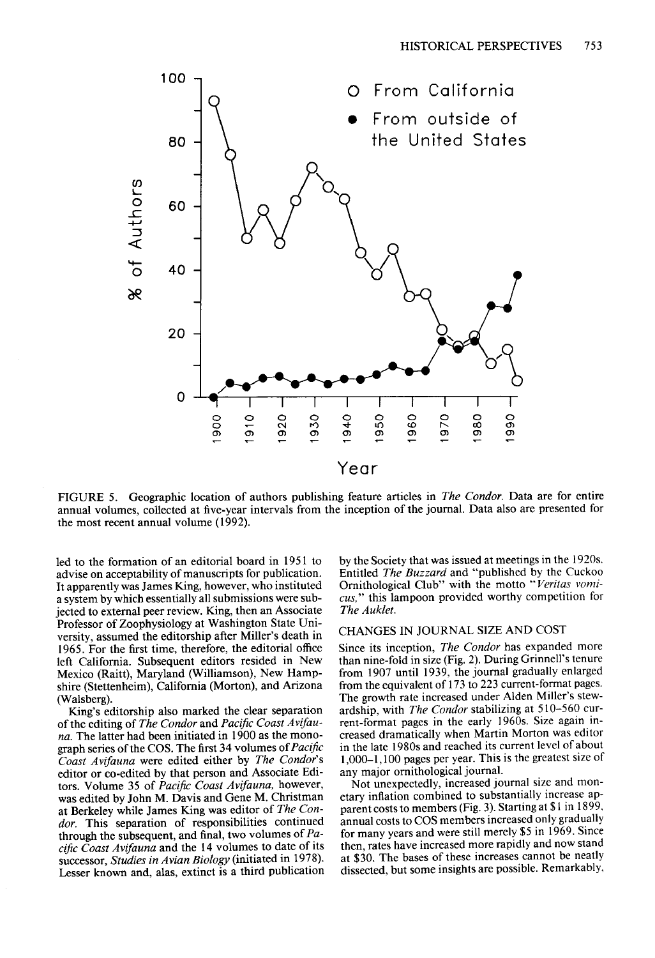

**FIGURE 5. Geographic location of authors publishing feature articles in The Condor. Data are for entire annual volumes, collected at five-year intervals from the inception of the journal. Data also are presented for the most recent annual volume (1992).** 

led to the formation of an editorial board in 1951 to **advise on acceptability of manuscripts for publication. It apparently was James Ring, however, who instituted a system by which essentially all submissions were subjected to external peer review. Ring, then an Associate Professor of Zoophysiology at Washington State University, assumed the editorship after Miller's death in 1965. For the first time, therefore, the editorial office left California. Subsequent editors resided in New Mexico (Raitt), Maryland (Williamson), New Hampshire (Stettenheim), California (Morton), and Arizona (Walsberg).** 

**Ring's editorship also marked the clear separation of the editing of The Condor and Pacific Coast Avifauna. The latter had been initiated in 1900 as the monograph series of the COS. The first 34 volumes of Pacific**  Coast Avifauna were edited either by The Condor's **editor or co-edited by that person and Associate Editors. Volume 35 of Pacific Coast Avifauna, however, was edited by John M. Davis and Gene M. Christman at Berkeley while James Ring was editor of The Condor. This separation of responsibilities continued through the subsequent, and final, two volumes of Pacific Coast Avifauna and the 14 volumes to date of its successor, Studies in Avian Biology (initiated in 1978). Lesser known and, alas, extinct is a third publication** 

**by the Society that was issued at meetings in the 1920s. Entitled The Buzzard and "published by the Cuckoo Ornithological Club" with the motto "Veritas vomicus," this lampoon provided worthy competition for The Auklet.** 

# **CHANGES IN JOURNAL SIZE AND COST**

**Since its inception, The Condor has expanded more than nine-fold in size (Fig. 2). During Grinnell's tenure from 1907 until 1939, the journal gradually enlarged from the equivalent of 173 to 223 current-format pages. The growth rate increased under Alden Miller's stew**ardship, with The Condor stabilizing at 510-560 cur**rent-format pages in the early 1960s. Size again increased dramatically when Martin Morton was editor in the late 1980s and reached its current level of about 1,000-l, 100 pages per year. This is the greatest size of any major ornithological journal.** 

**Not unexpectedly, increased journal size and monetary inflation combined to substantially increase apparent costs to members (Fig. 3). Starting at \$ I in 1899, annual costs to COS members increased only gradually for many years and were still merely \$5 in 1969. Since then, rates have increased more rapidly and now stand at \$30. The bases of these increases cannot be neatly dissected, but some insights are possible. Remarkably,**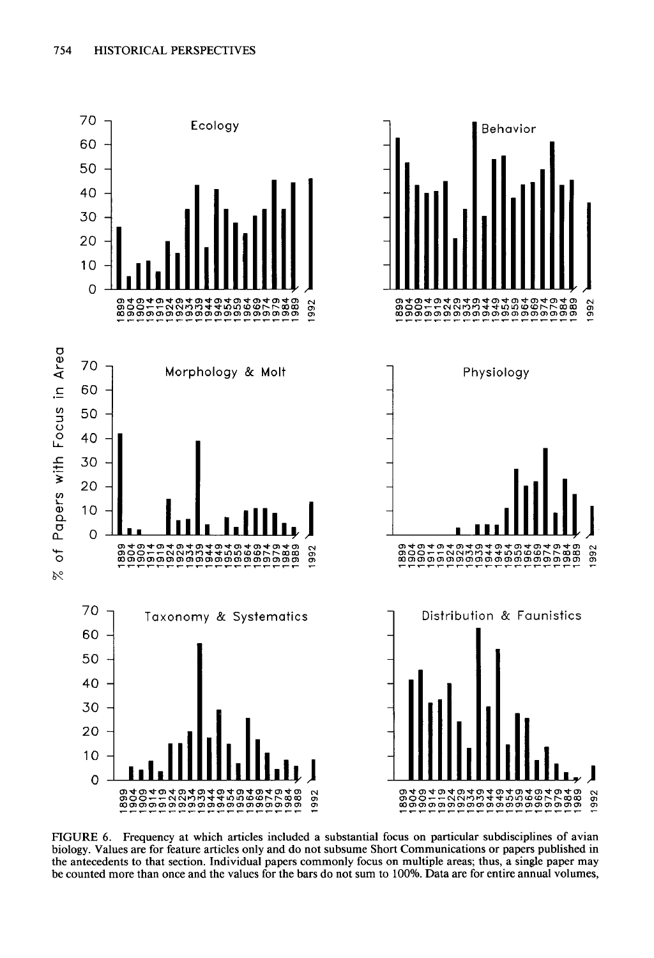

FIGURE 6. Frequency at which articles included a substantial focus on particular subdisciplines of avian biology. Values are for feature articles only and do not subsume Short Communications or papers published in the antecedents to that section. Individual papers commonly focus on multiple areas; thus, a single paper may be counted more than once and the values for the bars do not sum to 100%. Data are for entire annual volumes,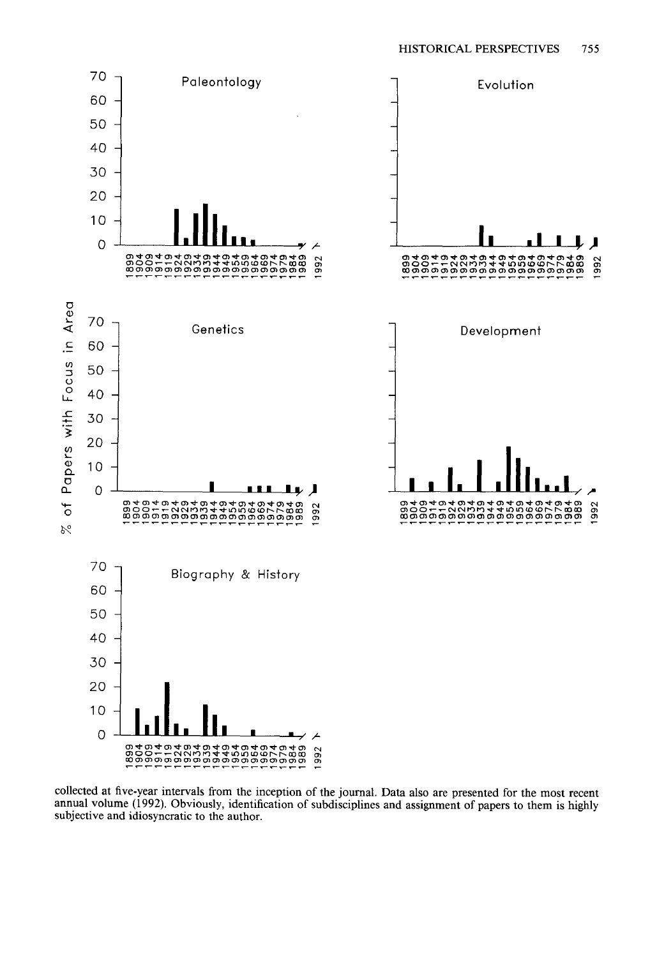

collected at five-year intervals from the inception of the journal. Data also are presented for the most recent annual volume (1992). Obviously, identification of subdisciplines and assignment of papers to them is highly subjective and idiosyncratic to the author.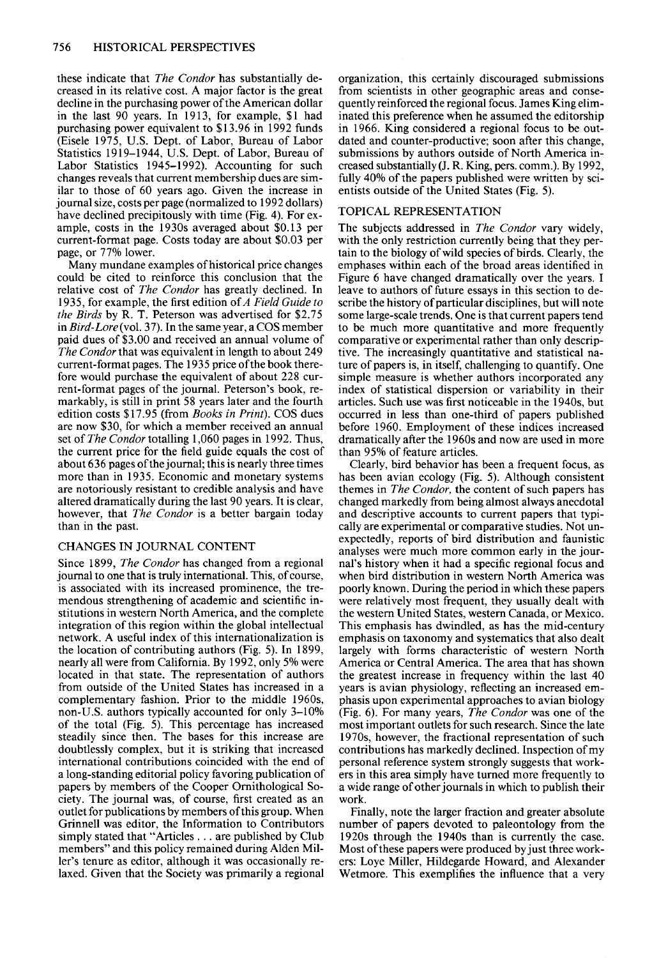**these indicate that The Condor has substantially decreased in its relative cost. A major factor is the great decline in the purchasing power of the American dollar in the last 90 years. In 1913, for example, \$1 had purchasing power equivalent to \$13.96 in 1992 funds (Eisele 1975, U.S. Dept. of Labor, Bureau of Labor Statistics 19 19-1944, U.S. Dept. of Labor, Bureau of Labor Statistics 1945-1992). Accounting for such changes reveals that current membership dues are similar to those of 60 years ago. Given the increase in journal size, costs per page (normalized to 1992 dollars)**  have declined precipitously with time (Fig. 4). For ex**ample, costs in the 1930s averaged about \$0.13 per current-format page. Costs today are about \$0.03 per page, or 77% lower.** 

**Many mundane examples of historical price changes could be cited to reinforce this conclusion that the relative cost of The Condor has greatly declined. In 1935, for example, the first edition of A Field Guide to the Birds by R. T. Peterson was advertised for \$2.75 in Bird-Lore(vol.37). In the same year, a COS member paid dues of \$3.00 and received an annual volume of The Condor that was equivalent in length to about 249 current-format pages. The 1935 price ofthe book therefore would purchase the equivalent of about 228 current-format pages of the journal. Peterson's book, remarkably, is still in print 58 years later and the fourth edition costs \$17.95 (from Books in Print). COS dues are now \$30, for which a member received an annual set of The Condor totalling 1,060 pages in 1992. Thus, the current price for the field guide equals the cost of about 636 pages of the journal; this is nearly three times more than in 1935. Economic and monetary systems are notoriously resistant to credible analysis and have altered dramatically during the last 90 years. It is clear, however, that The Condor is a better bargain today than in the past.** 

## **CHANGES IN JOURNAL CONTENT**

**Since 1899, The Condor has changed from a regional journal to one that is truly international. This, of course, is associated with its increased prominence, the tremendous strengthening of academic and scientific institutions in western North America, and the complete integration of this region within the global intellectual network. A useful index of this internationalization is the location of contributing authors (Fig. 5). In 1899, nearly all were from California. By 1992, only 5% were located in that state. The representation of authors from outside of the United States has increased in a**  complementary fashion. Prior to the middle 1960s, **non-U.S. authors typically accounted for only 3-10% of the total (Fig. 5). This percentage has increased steadily since then. The bases for this increase are doubtlessly complex, but it is striking that increased international contributions coincided with the end of a long-standing editorial policy favoring publication of papers by members of the Cooper Ornithological Society. The journal was, of course, first created as an outlet for publications by members of this group. When Grinnell was editor, the Information to Contributors simply stated that "Articles . are published by Club members" and this policy remained during Alden Miller's tenure as editor, although it was occasionally relaxed. Given that the Society was primarily a regional** 

**organization, this certainly discouraged submissions from scientists in other geographic areas and consequently reinforced the regional focus. James Ring eliminated this preference when he assumed the editorship in 1966. Ring considered a regional focus to be outdated and counter-productive; soon after this change, submissions by authors outside of North America increased substantially (J. R. Ring, pers. comm.). By 1992, fully 40% of the papers published were written by scientists outside of the United States (Fig. 5).** 

#### **TOPICAL REPRESENTATION**

**The subjects addressed in The Condor vary widely, with the only restriction currently being that they pertain to the biology of wild species of birds. Clearly, the emphases within each of the broad areas identified in Figure 6 have changed dramatically over the years. I leave to authors of future essays in this section to describe the history of particular disciplines, but will note some large-scale trends. One is that current papers tend to be much more quantitative and more frequently comparative or experimental rather than only descriptive. The increasingly quantitative and statistical nature of papers is, in itself, challenging to quantify. One simple measure is whether authors incorporated any index of statistical dispersion or variability in their**  articles. Such use was first noticeable in the 1940s, but **occurred in less than one-third of papers published before 1960. Employment of these indices increased dramatically after the 1960s and now are used in more than 95% of feature articles.** 

**Clearly, bird behavior has been a frequent focus, as has been avian ecology (Fig. 5). Although consistent themes in The Condor, the content of such papers has changed markedly from being almost always anecdotal and descriptive accounts to current papers that typicallv are experimental or comparative studies. Not un**expectedly, reports of bird distribution and faunistic **analvses were much more common earlv in the iournal's history when it had a specific regional focus and when bird distribution in western North America was poorly known. During the period in which these papers were relatively most frequent, they usually dealt with the western United States, western Canada, or Mexico. This emphasis has dwindled, as has the mid-century emphasis on taxonomy and systematics that also dealt largely with forms characteristic of western North America or Central America. The area that has shown the greatest increase in frequency within the last 40 years is avian physiology, reflecting an increased emphasis upon experimental approaches to avian biology (Fig. 6). For many years, The Condor was one of the most important outlets for such research. Since the late 1970s however, the fractional representation of such contributions has markedly declined. Inspection of my personal reference system strongly suggests that workers in this area simply have turned more frequently to a wide range of other journals in which to publish their work.** 

**Finally, note the larger fraction and greater absolute number of papers devoted to paleontology from the 1920s through the 1940s than is currently the case. Most of these papers were produced by just three workers: Loye Miller, Hildegarde Howard, and Alexander Wetmore. This exemplifies the influence that a very**